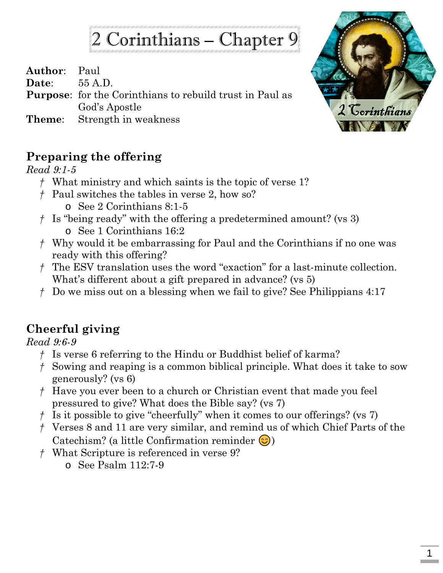## 2 Corinthians – Chapter 9

**Author**: Paul

**Date**: 55 A.D.

**Purpose**: for the Corinthians to rebuild trust in Paul as God's Apostle

**Theme**: Strength in weakness



## **Preparing the offering**

*Read 9:1-5*

- *†* What ministry and which saints is the topic of verse 1?
- *†* Paul switches the tables in verse 2, how so?
	- o See 2 Corinthians 8:1-5
- *†* Is "being ready" with the offering a predetermined amount? (vs 3)
	- o See 1 Corinthians 16:2
- *†* Why would it be embarrassing for Paul and the Corinthians if no one was ready with this offering?
- *†* The ESV translation uses the word "exaction" for a last-minute collection. What's different about a gift prepared in advance? (vs 5)
- *†* Do we miss out on a blessing when we fail to give? See Philippians 4:17

## **Cheerful giving**

*Read 9:6-9*

- *†* Is verse 6 referring to the Hindu or Buddhist belief of karma?
- *†* Sowing and reaping is a common biblical principle. What does it take to sow generously? (vs 6)
- *†* Have you ever been to a church or Christian event that made you feel pressured to give? What does the Bible say? (vs 7)
- *†* Is it possible to give "cheerfully" when it comes to our offerings? (vs 7)
- *†* Verses 8 and 11 are very similar, and remind us of which Chief Parts of the Catechism? (a little Confirmation reminder  $\circled{c}$ )
- *†* What Scripture is referenced in verse 9?
	- o See Psalm 112:7-9